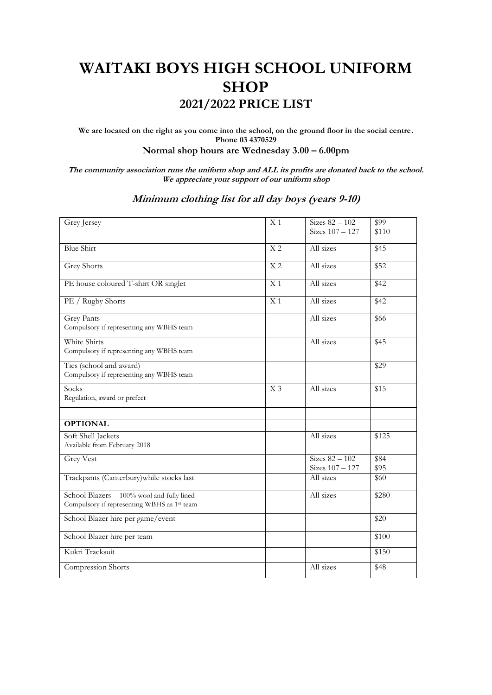## **WAITAKI BOYS HIGH SCHOOL UNIFORM SHOP 2021/2022 PRICE LIST**

**We are located on the right as you come into the school, on the ground floor in the social centre. Phone 03 4370529 Normal shop hours are Wednesday 3.00 – 6.00pm**

**The community association runs the uniform shop and ALL its profits are donated back to the school. We appreciate your support of our uniform shop**

## **Minimum clothing list for all day boys (years 9-10)**

| Grey Jersey                                 | X <sub>1</sub>  | Sizes $82 - 102$  | $\sqrt{$99}$ |
|---------------------------------------------|-----------------|-------------------|--------------|
|                                             |                 | Sizes 107 - 127   | \$110        |
|                                             |                 |                   |              |
| <b>Blue Shirt</b>                           | X <sub>2</sub>  | All sizes         | \$45         |
|                                             |                 |                   |              |
|                                             | X <sub>2</sub>  | All sizes         |              |
| <b>Grey Shorts</b>                          |                 |                   | \$52         |
|                                             |                 |                   |              |
| PE house coloured T-shirt OR singlet        | X <sub>1</sub>  | All sizes         | \$42         |
|                                             |                 |                   |              |
| PE / Rugby Shorts                           | $\overline{X1}$ | All sizes         | \$42         |
|                                             |                 |                   |              |
| <b>Grey Pants</b>                           |                 | All sizes         | \$66         |
| Compulsory if representing any WBHS team    |                 |                   |              |
|                                             |                 |                   |              |
| White Shirts                                |                 | All sizes         | \$45         |
| Compulsory if representing any WBHS team    |                 |                   |              |
|                                             |                 |                   |              |
| Ties (school and award)                     |                 |                   | \$29         |
| Compulsory if representing any WBHS team    |                 |                   |              |
|                                             |                 |                   |              |
| Socks                                       | X <sub>3</sub>  | All sizes         | \$15         |
| Regulation, award or prefect                |                 |                   |              |
|                                             |                 |                   |              |
|                                             |                 |                   |              |
| <b>OPTIONAL</b>                             |                 |                   |              |
|                                             |                 |                   |              |
| Soft Shell Jackets                          |                 | All sizes         | \$125        |
| Available from February 2018                |                 |                   |              |
|                                             |                 |                   |              |
| <b>Grey Vest</b>                            |                 | Sizes $82 - 102$  | \$84         |
|                                             |                 | Sizes $107 - 127$ | \$95         |
| Trackpants (Canterbury) while stocks last   |                 | All sizes         | \$60         |
|                                             |                 |                   |              |
| School Blazers - 100% wool and fully lined  |                 | All sizes         | \$280        |
| Compulsory if representing WBHS as 1st team |                 |                   |              |
|                                             |                 |                   |              |
| School Blazer hire per game/event           |                 |                   | \$20         |
|                                             |                 |                   |              |
| School Blazer hire per team                 |                 |                   | \$100        |
|                                             |                 |                   |              |
| Kukri Tracksuit                             |                 |                   | \$150        |
|                                             |                 |                   |              |
| Compression Shorts                          |                 | All sizes         | \$48         |
|                                             |                 |                   |              |